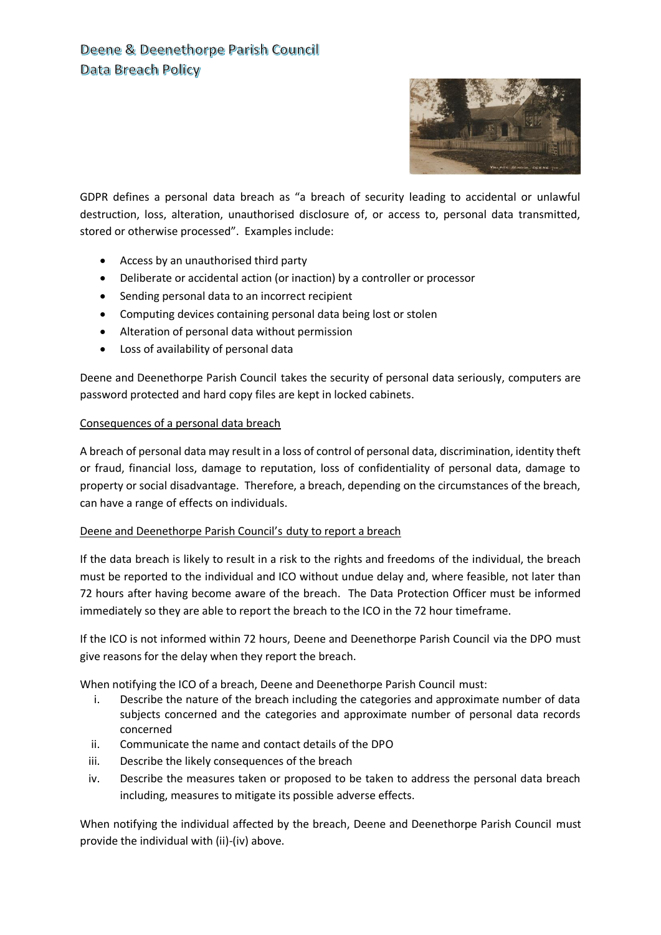

GDPR defines a personal data breach as "a breach of security leading to accidental or unlawful destruction, loss, alteration, unauthorised disclosure of, or access to, personal data transmitted, stored or otherwise processed". Examples include:

- Access by an unauthorised third party
- Deliberate or accidental action (or inaction) by a controller or processor
- Sending personal data to an incorrect recipient
- Computing devices containing personal data being lost or stolen
- Alteration of personal data without permission
- Loss of availability of personal data

Deene and Deenethorpe Parish Council takes the security of personal data seriously, computers are password protected and hard copy files are kept in locked cabinets.

## Consequences of a personal data breach

A breach of personal data may result in a loss of control of personal data, discrimination, identity theft or fraud, financial loss, damage to reputation, loss of confidentiality of personal data, damage to property or social disadvantage. Therefore, a breach, depending on the circumstances of the breach, can have a range of effects on individuals.

### Deene and Deenethorpe Parish Council's duty to report a breach

If the data breach is likely to result in a risk to the rights and freedoms of the individual, the breach must be reported to the individual and ICO without undue delay and, where feasible, not later than 72 hours after having become aware of the breach. The Data Protection Officer must be informed immediately so they are able to report the breach to the ICO in the 72 hour timeframe.

If the ICO is not informed within 72 hours, Deene and Deenethorpe Parish Council via the DPO must give reasons for the delay when they report the breach.

When notifying the ICO of a breach, Deene and Deenethorpe Parish Council must:

- i. Describe the nature of the breach including the categories and approximate number of data subjects concerned and the categories and approximate number of personal data records concerned
- ii. Communicate the name and contact details of the DPO
- iii. Describe the likely consequences of the breach
- iv. Describe the measures taken or proposed to be taken to address the personal data breach including, measures to mitigate its possible adverse effects.

When notifying the individual affected by the breach, Deene and Deenethorpe Parish Council must provide the individual with (ii)-(iv) above.